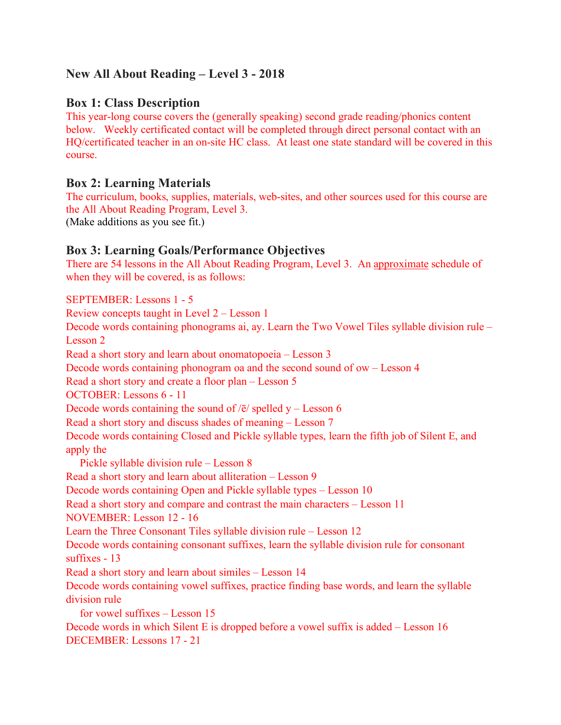# **New All About Reading – Level 3 - 2018**

## **Box 1: Class Description**

This year-long course covers the (generally speaking) second grade reading/phonics content below. Weekly certificated contact will be completed through direct personal contact with an HQ/certificated teacher in an on-site HC class. At least one state standard will be covered in this course.

### **Box 2: Learning Materials**

The curriculum, books, supplies, materials, web-sites, and other sources used for this course are the All About Reading Program, Level 3. (Make additions as you see fit.)

## **Box 3: Learning Goals/Performance Objectives**

There are 54 lessons in the All About Reading Program, Level 3. An approximate schedule of when they will be covered, is as follows:

SEPTEMBER: Lessons 1 - 5 Review concepts taught in Level 2 – Lesson 1 Decode words containing phonograms ai, ay. Learn the Two Vowel Tiles syllable division rule – Lesson 2 Read a short story and learn about onomatopoeia – Lesson 3 Decode words containing phonogram oa and the second sound of ow – Lesson 4 Read a short story and create a floor plan – Lesson 5 OCTOBER: Lessons 6 - 11 Decode words containing the sound of  $\sqrt{\overline{e}}$  spelled y – Lesson 6 Read a short story and discuss shades of meaning – Lesson 7 Decode words containing Closed and Pickle syllable types, learn the fifth job of Silent E, and apply the Pickle syllable division rule – Lesson 8 Read a short story and learn about alliteration – Lesson 9 Decode words containing Open and Pickle syllable types – Lesson 10 Read a short story and compare and contrast the main characters – Lesson 11 NOVEMBER: Lesson 12 - 16 Learn the Three Consonant Tiles syllable division rule – Lesson 12 Decode words containing consonant suffixes, learn the syllable division rule for consonant suffixes - 13 Read a short story and learn about similes – Lesson 14 Decode words containing vowel suffixes, practice finding base words, and learn the syllable division rule for vowel suffixes – Lesson 15 Decode words in which Silent E is dropped before a vowel suffix is added – Lesson 16

DECEMBER: Lessons 17 - 21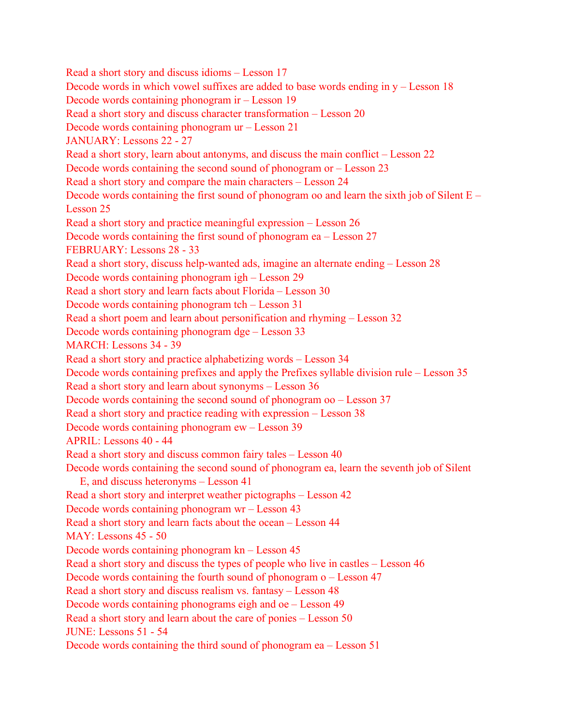Read a short story and discuss idioms – Lesson 17 Decode words in which vowel suffixes are added to base words ending in  $y -$  Lesson 18 Decode words containing phonogram ir – Lesson 19 Read a short story and discuss character transformation – Lesson 20 Decode words containing phonogram ur – Lesson 21 JANUARY: Lessons 22 - 27 Read a short story, learn about antonyms, and discuss the main conflict – Lesson 22 Decode words containing the second sound of phonogram or – Lesson 23 Read a short story and compare the main characters – Lesson 24 Decode words containing the first sound of phonogram oo and learn the sixth job of Silent E – Lesson 25 Read a short story and practice meaningful expression – Lesson 26 Decode words containing the first sound of phonogram ea – Lesson 27 FEBRUARY: Lessons 28 - 33 Read a short story, discuss help-wanted ads, imagine an alternate ending – Lesson 28 Decode words containing phonogram igh – Lesson 29 Read a short story and learn facts about Florida – Lesson 30 Decode words containing phonogram tch – Lesson 31 Read a short poem and learn about personification and rhyming – Lesson 32 Decode words containing phonogram dge – Lesson 33 MARCH: Lessons 34 - 39 Read a short story and practice alphabetizing words – Lesson 34 Decode words containing prefixes and apply the Prefixes syllable division rule – Lesson 35 Read a short story and learn about synonyms – Lesson 36 Decode words containing the second sound of phonogram oo – Lesson 37 Read a short story and practice reading with expression – Lesson 38 Decode words containing phonogram ew – Lesson 39 APRIL: Lessons 40 - 44 Read a short story and discuss common fairy tales – Lesson 40 Decode words containing the second sound of phonogram ea, learn the seventh job of Silent E, and discuss heteronyms – Lesson 41 Read a short story and interpret weather pictographs – Lesson 42 Decode words containing phonogram wr – Lesson 43 Read a short story and learn facts about the ocean – Lesson 44 MAY: Lessons 45 - 50 Decode words containing phonogram kn – Lesson 45 Read a short story and discuss the types of people who live in castles – Lesson 46 Decode words containing the fourth sound of phonogram o – Lesson 47 Read a short story and discuss realism vs. fantasy – Lesson 48 Decode words containing phonograms eigh and oe – Lesson 49 Read a short story and learn about the care of ponies – Lesson 50 JUNE: Lessons 51 - 54 Decode words containing the third sound of phonogram ea – Lesson 51